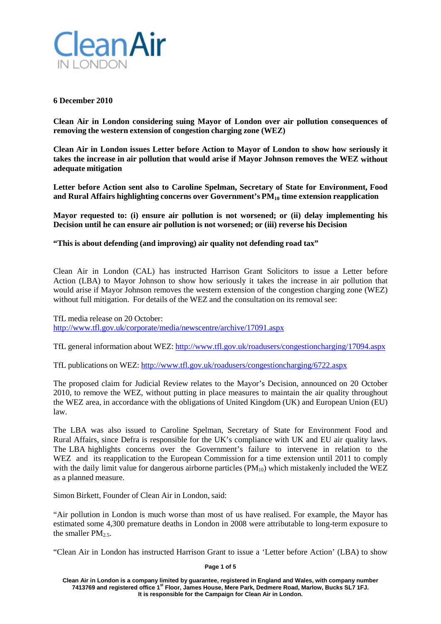

# **6 December 2010**

**Clean Air in London considering suing Mayor of London over air pollution consequences of removing the western extension of congestion charging zone (WEZ)**

**Clean Air in London issues Letter before Action to Mayor of London to show how seriously it takes the increase in air pollution that would arise if Mayor Johnson removes the WEZ without adequate mitigation**

**Letter before Action sent also to Caroline Spelman, Secretary of State for Environment, Food and Rural Affairs highlighting concerns over Government's PM10 time extension reapplication**

**Mayor requested to: (i) ensure air pollution is not worsened; or (ii) delay implementing his Decision until he can ensure air pollution is not worsened; or (iii) reverse his Decision**

**"This is about defending (and improving) air quality not defending road tax"**

Clean Air in London (CAL) has instructed Harrison Grant Solicitors to issue a Letter before Action (LBA) to Mayor Johnson to show how seriously it takes the increase in air pollution that would arise if Mayor Johnson removes the western extension of the congestion charging zone (WEZ) without full mitigation. For details of the WEZ and the consultation on its removal see:

TfL media release on 20 October: <http://www.tfl.gov.uk/corporate/media/newscentre/archive/17091.aspx>

TfL general information about WEZ: <http://www.tfl.gov.uk/roadusers/congestioncharging/17094.aspx>

TfL publications on WEZ: <http://www.tfl.gov.uk/roadusers/congestioncharging/6722.aspx>

The proposed claim for Judicial Review relates to the Mayor's Decision, announced on 20 October 2010, to remove the WEZ, without putting in place measures to maintain the air quality throughout the WEZ area, in accordance with the obligations of United Kingdom (UK) and European Union (EU) law.

The LBA was also issued to Caroline Spelman, Secretary of State for Environment Food and Rural Affairs, since Defra is responsible for the UK's compliance with UK and EU air quality laws. The LBA highlights concerns over the Government's failure to intervene in relation to the WEZ and its reapplication to the European Commission for a time extension until 2011 to comply with the daily limit value for dangerous airborne particles  $(PM_{10})$  which mistakenly included the WEZ as a planned measure.

Simon Birkett, Founder of Clean Air in London, said:

"Air pollution in London is much worse than most of us have realised. For example, the Mayor has estimated some 4,300 premature deaths in London in 2008 were attributable to long-term exposure to the smaller  $PM_2$ 5.

"Clean Air in London has instructed Harrison Grant to issue a 'Letter before Action' (LBA) to show

**Page 1 of 5**

**Clean Air in London is a company limited by guarantee, registered in England and Wales, with company number 7413769 and registered office 1st Floor, James House, Mere Park, Dedmere Road, Marlow, Bucks SL7 1FJ. It is responsible for the Campaign for Clean Air in London.**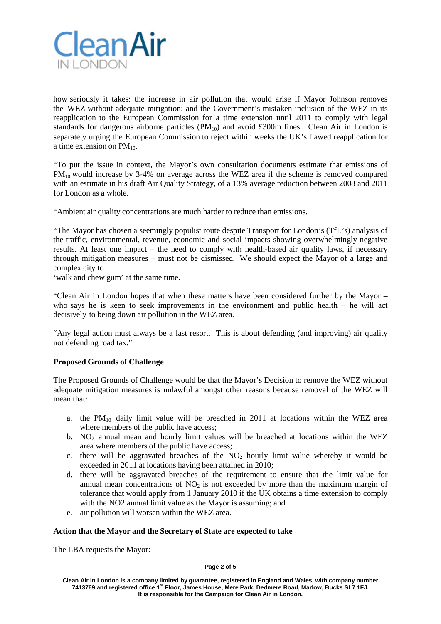

how seriously it takes: the increase in air pollution that would arise if Mayor Johnson removes the WEZ without adequate mitigation; and the Government's mistaken inclusion of the WEZ in its reapplication to the European Commission for a time extension until 2011 to comply with legal standards for dangerous airborne particles  $(PM_{10})$  and avoid £300m fines. Clean Air in London is separately urging the European Commission to reject within weeks the UK's flawed reapplication for a time extension on  $PM_{10}$ .

"To put the issue in context, the Mayor's own consultation documents estimate that emissions of PM<sub>10</sub> would increase by 3-4% on average across the WEZ area if the scheme is removed compared with an estimate in his draft Air Quality Strategy, of a 13% average reduction between 2008 and 2011 for London as a whole.

"Ambient air quality concentrations are much harder to reduce than emissions.

"The Mayor has chosen a seemingly populist route despite Transport for London's (TfL's) analysis of the traffic, environmental, revenue, economic and social impacts showing overwhelmingly negative results. At least one impact – the need to comply with health-based air quality laws, if necessary through mitigation measures – must not be dismissed. We should expect the Mayor of a large and complex city to

'walk and chew gum' at the same time.

"Clean Air in London hopes that when these matters have been considered further by the Mayor – who says he is keen to seek improvements in the environment and public health – he will act decisively to being down air pollution in the WEZ area.

"Any legal action must always be a last resort. This is about defending (and improving) air quality not defending road tax."

# **Proposed Grounds of Challenge**

The Proposed Grounds of Challenge would be that the Mayor's Decision to remove the WEZ without adequate mitigation measures is unlawful amongst other reasons because removal of the WEZ will mean that:

- a. the PM<sub>10</sub> daily limit value will be breached in 2011 at locations within the WEZ area where members of the public have access;
- b. NO<sub>2</sub> annual mean and hourly limit values will be breached at locations within the WEZ area where members of the public have access;
- c. there will be aggravated breaches of the  $NO<sub>2</sub>$  hourly limit value whereby it would be exceeded in 2011 at locations having been attained in 2010;
- d. there will be aggravated breaches of the requirement to ensure that the limit value for annual mean concentrations of  $NO<sub>2</sub>$  is not exceeded by more than the maximum margin of tolerance that would apply from 1 January 2010 if the UK obtains a time extension to comply with the NO2 annual limit value as the Mayor is assuming; and
- e. air pollution will worsen within the WEZ area.

# **Action that the Mayor and the Secretary of State are expected to take**

The LBA requests the Mayor: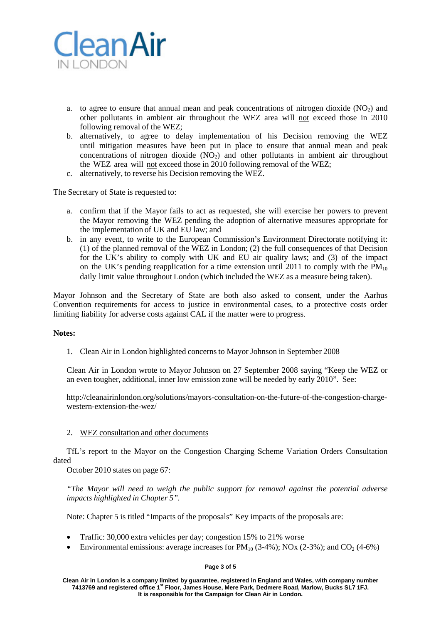

- a. to agree to ensure that annual mean and peak concentrations of nitrogen dioxide  $(NO<sub>2</sub>)$  and other pollutants in ambient air throughout the WEZ area will not exceed those in 2010 following removal of the WEZ;
- b. alternatively, to agree to delay implementation of his Decision removing the WEZ until mitigation measures have been put in place to ensure that annual mean and peak concentrations of nitrogen dioxide  $(NO<sub>2</sub>)$  and other pollutants in ambient air throughout the WEZ area will not exceed those in 2010 following removal of the WEZ;
- c. alternatively, to reverse his Decision removing the WEZ.

The Secretary of State is requested to:

- a. confirm that if the Mayor fails to act as requested, she will exercise her powers to prevent the Mayor removing the WEZ pending the adoption of alternative measures appropriate for the implementation of UK and EU law; and
- b. in any event, to write to the European Commission's Environment Directorate notifying it: (1) of the planned removal of the WEZ in London; (2) the full consequences of that Decision for the UK's ability to comply with UK and EU air quality laws; and (3) of the impact on the UK's pending reapplication for a time extension until 2011 to comply with the  $PM_{10}$ daily limit value throughout London (which included the WEZ as a measure being taken).

Mayor Johnson and the Secretary of State are both also asked to consent, under the Aarhus Convention requirements for access to justice in environmental cases, to a protective costs order limiting liability for adverse costs against CAL if the matter were to progress.

# **Notes:**

# 1. Clean Air in London highlighted concerns to Mayor Johnson in September 2008

Clean Air in London wrote to Mayor Johnson on 27 September 2008 saying "Keep the WEZ or an even tougher, additional, inner low emission zone will be needed by early 2010". See:

http://cleanairinlondon.org/solutions/mayors-consultation-on-the-future-of-the-congestion-chargewestern-extension-the-wez/

# 2. WEZ consultation and other documents

TfL's report to the Mayor on the Congestion Charging Scheme Variation Orders Consultation dated

October 2010 states on page 67:

*"The Mayor will need to weigh the public support for removal against the potential adverse impacts highlighted in Chapter 5".*

Note: Chapter 5 is titled "Impacts of the proposals" Key impacts of the proposals are:

- Traffic: 30,000 extra vehicles per day; congestion 15% to 21% worse
- Environmental emissions: average increases for  $PM_{10}$  (3-4%); NOx (2-3%); and CO<sub>2</sub> (4-6%)

### **Page 3 of 5**

**Clean Air in London is a company limited by guarantee, registered in England and Wales, with company number 7413769 and registered office 1st Floor, James House, Mere Park, Dedmere Road, Marlow, Bucks SL7 1FJ. It is responsible for the Campaign for Clean Air in London.**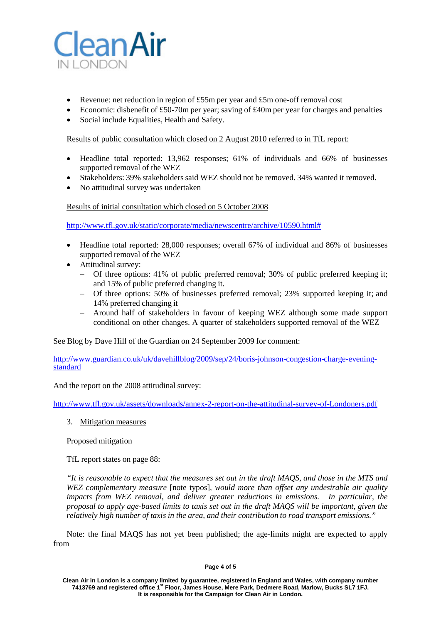

- Revenue: net reduction in region of £55m per year and £5m one-off removal cost
- Economic: disbenefit of £50-70m per year; saving of £40m per year for charges and penalties
- Social include Equalities, Health and Safety.

Results of public consultation which closed on 2 August 2010 referred to in TfL report:

- Headline total reported: 13,962 responses; 61% of individuals and 66% of businesses supported removal of the WEZ
- Stakeholders: 39% stakeholders said WEZ should not be removed. 34% wanted it removed.
- No attitudinal survey was undertaken

Results of initial consultation which closed on 5 October 2008

[http://www.tfl.gov.uk/static/corporate/media/newscentre/archive/10590.html#](http://www.tfl.gov.uk/static/corporate/media/newscentre/archive/10590.html)

- Headline total reported: 28,000 responses; overall 67% of individual and 86% of businesses supported removal of the WEZ
- Attitudinal survey:
	- Of three options: 41% of public preferred removal; 30% of public preferred keeping it; and 15% of public preferred changing it.
	- − Of three options: 50% of businesses preferred removal; 23% supported keeping it; and 14% preferred changing it
	- − Around half of stakeholders in favour of keeping WEZ although some made support conditional on other changes. A quarter of stakeholders supported removal of the WEZ

See Blog by Dave Hill of the Guardian on 24 September 2009 for comment:

[http://www.guardian.co.uk/uk/davehillblog/2009/sep/24/boris-johnson-congestion-charge-evening-](http://www.guardian.co.uk/uk/davehillblog/2009/sep/24/boris-johnson-congestion-charge-evening-standard) [standard](http://www.guardian.co.uk/uk/davehillblog/2009/sep/24/boris-johnson-congestion-charge-evening-standard)

And the report on the 2008 attitudinal survey:

<http://www.tfl.gov.uk/assets/downloads/annex-2-report-on-the-attitudinal-survey-of-Londoners.pdf>

3. Mitigation measures

Proposed mitigation

TfL report states on page 88:

*"It is reasonable to expect that the measures set out in the draft MAQS, and those in the MTS and WEZ complementary measure* [note typos]*, would more than offset any undesirable air quality impacts from WEZ removal, and deliver greater reductions in emissions. In particular, the proposal to apply age-based limits to taxis set out in the draft MAQS will be important, given the relatively high number of taxis in the area, and their contribution to road transport emissions."*

Note: the final MAQS has not yet been published; the age-limits might are expected to apply from

### **Page 4 of 5**

**Clean Air in London is a company limited by guarantee, registered in England and Wales, with company number 7413769 and registered office 1st Floor, James House, Mere Park, Dedmere Road, Marlow, Bucks SL7 1FJ. It is responsible for the Campaign for Clean Air in London.**